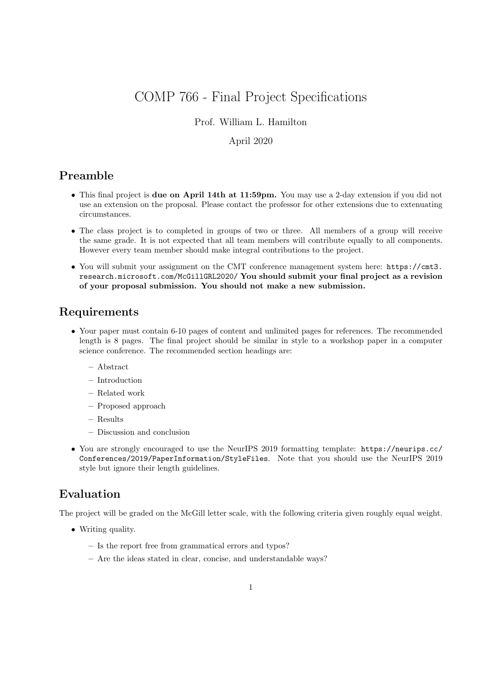# COMP 766 - Final Project Specifications

#### Prof. William L. Hamilton

#### April 2020

## Preamble

- This final project is due on April 14th at 11:59pm. You may use a 2-day extension if you did not use an extension on the proposal. Please contact the professor for other extensions due to extenuating circumstances.
- The class project is to completed in groups of two or three. All members of a group will receive the same grade. It is not expected that all team members will contribute equally to all components. However every team member should make integral contributions to the project.
- You will submit your assignment on the CMT conference management system here: https://cmt3. research.microsoft.com/McGillGRL2020/ You should submit your final project as a revision of your proposal submission. You should not make a new submission.

## Requirements

- Your paper must contain 6-10 pages of content and unlimited pages for references. The recommended length is 8 pages. The final project should be similar in style to a workshop paper in a computer science conference. The recommended section headings are:
	- Abstract
	- Introduction
	- Related work
	- Proposed approach
	- Results
	- Discussion and conclusion
- You are strongly encouraged to use the NeurIPS 2019 formatting template: https://neurips.cc/ Conferences/2019/PaperInformation/StyleFiles. Note that you should use the NeurIPS 2019 style but ignore their length guidelines.

## Evaluation

The project will be graded on the McGill letter scale, with the following criteria given roughly equal weight.

- Writing quality.
	- Is the report free from grammatical errors and typos?
	- Are the ideas stated in clear, concise, and understandable ways?